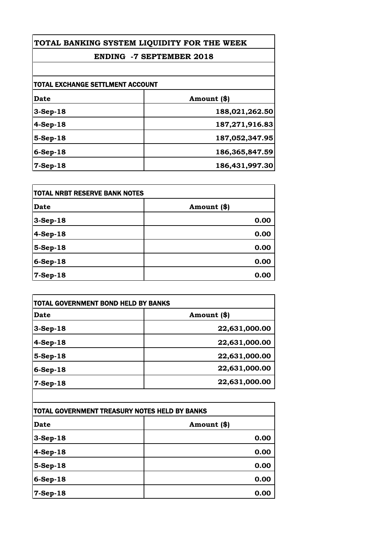# **TOTAL BANKING SYSTEM LIQUIDITY FOR THE WEEK**

## **ENDING -7 SEPTEMBER 2018**

| TOTAL EXCHANGE SETTLMENT ACCOUNT |                |
|----------------------------------|----------------|
| Date                             | Amount (\$)    |
| $3-Sep-18$                       | 188,021,262.50 |
| $4-Sep-18$                       | 187,271,916.83 |
| $5-Sep-18$                       | 187,052,347.95 |
| $6-Sep-18$                       | 186,365,847.59 |
| $7-Sep-18$                       | 186,431,997.30 |

| <b>TOTAL NRBT RESERVE BANK NOTES</b> |             |
|--------------------------------------|-------------|
| Date                                 | Amount (\$) |
| 3-Sep-18                             | 0.00        |
| $4-Sep-18$                           | 0.00        |
| 5-Sep-18                             | 0.00        |
| 6-Sep-18                             | 0.00        |
| $7-Sep-18$                           | 0.00        |

| Date       | Amount (\$)   |
|------------|---------------|
| $3-Sep-18$ | 22,631,000.00 |
| $4-Sep-18$ | 22,631,000.00 |
| 5-Sep-18   | 22,631,000.00 |
| 6-Sep-18   | 22,631,000.00 |
| $7-Sep-18$ | 22,631,000.00 |

| TOTAL GOVERNMENT TREASURY NOTES HELD BY BANKS |             |
|-----------------------------------------------|-------------|
| Date                                          | Amount (\$) |
| $3-Sep-18$                                    | 0.00        |
| $4-Sep-18$                                    | 0.00        |
| $5-Sep-18$                                    | 0.00        |
| $6-Sep-18$                                    | 0.00        |
| 7-Sep-18                                      | 0.00        |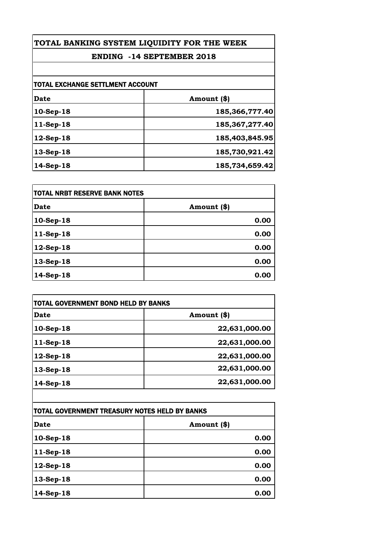## **TOTAL BANKING SYSTEM LIQUIDITY FOR THE WEEK**

## **ENDING -14 SEPTEMBER 2018**

| <b>TOTAL EXCHANGE SETTLMENT ACCOUNT</b> |                   |
|-----------------------------------------|-------------------|
| Date                                    | Amount (\$)       |
| 10-Sep-18                               | 185,366,777.40    |
| 11-Sep-18                               | 185, 367, 277. 40 |
| $12$ -Sep-18                            | 185,403,845.95    |
| 13-Sep-18                               | 185,730,921.42    |
| 14-Sep-18                               | 185,734,659.42    |

| <b>TOTAL NRBT RESERVE BANK NOTES</b> |             |
|--------------------------------------|-------------|
| <b>Date</b>                          | Amount (\$) |
| 10-Sep-18                            | 0.00        |
| 11-Sep-18                            | 0.00        |
| 12-Sep-18                            | 0.00        |
| 13-Sep-18                            | 0.00        |
| 14-Sep-18                            | 0.00        |

| Date         | Amount (\$)   |
|--------------|---------------|
| 10-Sep-18    | 22,631,000.00 |
| $11-Sep-18$  | 22,631,000.00 |
| $12$ -Sep-18 | 22,631,000.00 |
| 13-Sep-18    | 22,631,000.00 |
| 14-Sep-18    | 22,631,000.00 |

| TOTAL GOVERNMENT TREASURY NOTES HELD BY BANKS |             |
|-----------------------------------------------|-------------|
| <b>Date</b>                                   | Amount (\$) |
| 10-Sep-18                                     | 0.00        |
| $11-Sep-18$                                   | 0.00        |
| 12-Sep-18                                     | 0.00        |
| 13-Sep-18                                     | 0.00        |
| 14-Sep-18                                     | 0.00        |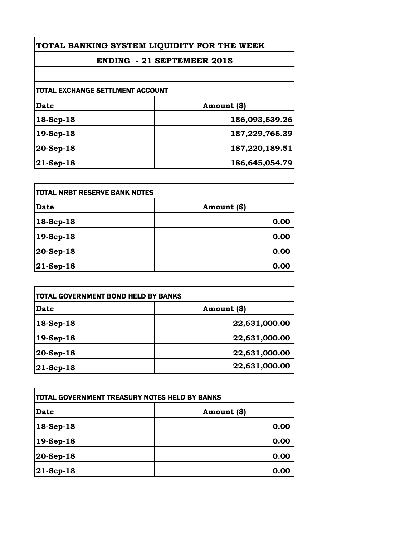**TOTAL BANKING SYSTEM LIQUIDITY FOR THE WEEK**

# **ENDING - 21 SEPTEMBER 2018**

| TOTAL EXCHANGE SETTLMENT ACCOUNT |                |
|----------------------------------|----------------|
| Date                             | Amount (\$)    |
| 18-Sep-18                        | 186,093,539.26 |
| 19-Sep-18                        | 187,229,765.39 |
| 20-Sep-18                        | 187,220,189.51 |
| $21$ -Sep-18                     | 186,645,054.79 |

| <b>TOTAL NRBT RESERVE BANK NOTES</b> |             |
|--------------------------------------|-------------|
| <b>Date</b>                          | Amount (\$) |
| $18-Sep-18$                          | 0.00        |
| 19-Sep-18                            | 0.00        |
| 20-Sep-18                            | 0.00        |
| $21$ -Sep-18                         | 0.00        |

| Date          | Amount (\$)   |
|---------------|---------------|
| $18-Sep-18$   | 22,631,000.00 |
| 19-Sep-18     | 22,631,000.00 |
| $ 20$ -Sep-18 | 22,631,000.00 |
| $ 21$ -Sep-18 | 22,631,000.00 |

| TOTAL GOVERNMENT TREASURY NOTES HELD BY BANKS |             |
|-----------------------------------------------|-------------|
| Date                                          | Amount (\$) |
| 18-Sep-18                                     | 0.00        |
| 19-Sep-18                                     | 0.00        |
| 20-Sep-18                                     | 0.00        |
| 21-Sep-18                                     | 0.00        |